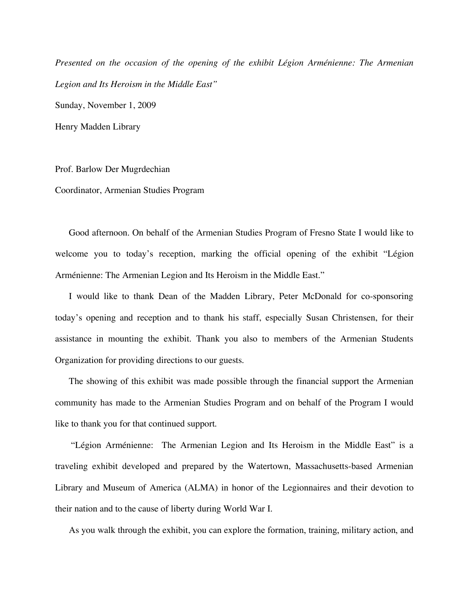*Presented on the occasion of the opening of the exhibit Légion Arménienne: The Armenian Legion and Its Heroism in the Middle East"* Sunday, November 1, 2009 Henry Madden Library

Prof. Barlow Der Mugrdechian

Coordinator, Armenian Studies Program

Good afternoon. On behalf of the Armenian Studies Program of Fresno State I would like to welcome you to today's reception, marking the official opening of the exhibit "Légion Arménienne: The Armenian Legion and Its Heroism in the Middle East."

I would like to thank Dean of the Madden Library, Peter McDonald for co-sponsoring today's opening and reception and to thank his staff, especially Susan Christensen, for their assistance in mounting the exhibit. Thank you also to members of the Armenian Students Organization for providing directions to our guests.

The showing of this exhibit was made possible through the financial support the Armenian community has made to the Armenian Studies Program and on behalf of the Program I would like to thank you for that continued support.

"Légion Arménienne: The Armenian Legion and Its Heroism in the Middle East" is a traveling exhibit developed and prepared by the Watertown, Massachusetts-based Armenian Library and Museum of America (ALMA) in honor of the Legionnaires and their devotion to their nation and to the cause of liberty during World War I.

As you walk through the exhibit, you can explore the formation, training, military action, and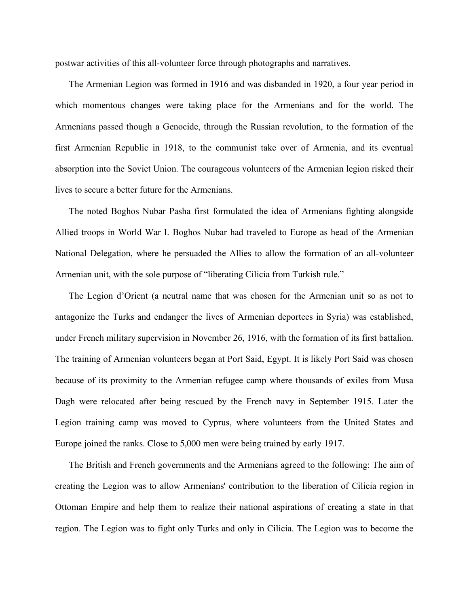postwar activities of this all-volunteer force through photographs and narratives.

The Armenian Legion was formed in 1916 and was disbanded in 1920, a four year period in which momentous changes were taking place for the Armenians and for the world. The Armenians passed though a Genocide, through the Russian revolution, to the formation of the first Armenian Republic in 1918, to the communist take over of Armenia, and its eventual absorption into the Soviet Union. The courageous volunteers of the Armenian legion risked their lives to secure a better future for the Armenians.

The noted Boghos Nubar Pasha first formulated the idea of Armenians fighting alongside Allied troops in World War I. Boghos Nubar had traveled to Europe as head of the Armenian National Delegation, where he persuaded the Allies to allow the formation of an all-volunteer Armenian unit, with the sole purpose of "liberating Cilicia from Turkish rule."

The Legion d'Orient (a neutral name that was chosen for the Armenian unit so as not to antagonize the Turks and endanger the lives of Armenian deportees in Syria) was established, under French military supervision in November 26, 1916, with the formation of its first battalion. The training of Armenian volunteers began at Port Said, Egypt. It is likely Port Said was chosen because of its proximity to the Armenian refugee camp where thousands of exiles from Musa Dagh were relocated after being rescued by the French navy in September 1915. Later the Legion training camp was moved to Cyprus, where volunteers from the United States and Europe joined the ranks. Close to 5,000 men were being trained by early 1917.

The British and French governments and the Armenians agreed to the following: The aim of creating the Legion was to allow Armenians' contribution to the liberation of Cilicia region in Ottoman Empire and help them to realize their national aspirations of creating a state in that region. The Legion was to fight only Turks and only in Cilicia. The Legion was to become the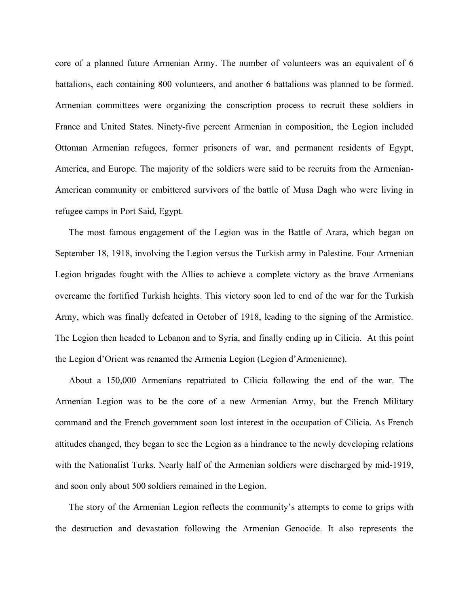core of a planned future Armenian Army. The number of volunteers was an equivalent of 6 battalions, each containing 800 volunteers, and another 6 battalions was planned to be formed. Armenian committees were organizing the conscription process to recruit these soldiers in France and United States. Ninety-five percent Armenian in composition, the Legion included Ottoman Armenian refugees, former prisoners of war, and permanent residents of Egypt, America, and Europe. The majority of the soldiers were said to be recruits from the Armenian-American community or embittered survivors of the battle of Musa Dagh who were living in refugee camps in Port Said, Egypt.

The most famous engagement of the Legion was in the Battle of Arara, which began on September 18, 1918, involving the Legion versus the Turkish army in Palestine. Four Armenian Legion brigades fought with the Allies to achieve a complete victory as the brave Armenians overcame the fortified Turkish heights. This victory soon led to end of the war for the Turkish Army, which was finally defeated in October of 1918, leading to the signing of the Armistice. The Legion then headed to Lebanon and to Syria, and finally ending up in Cilicia. At this point the Legion d'Orient was renamed the Armenia Legion (Legion d'Armenienne).

About a 150,000 Armenians repatriated to Cilicia following the end of the war. The Armenian Legion was to be the core of a new Armenian Army, but the French Military command and the French government soon lost interest in the occupation of Cilicia. As French attitudes changed, they began to see the Legion as a hindrance to the newly developing relations with the Nationalist Turks. Nearly half of the Armenian soldiers were discharged by mid-1919, and soon only about 500 soldiers remained in the Legion.

The story of the Armenian Legion reflects the community's attempts to come to grips with the destruction and devastation following the Armenian Genocide. It also represents the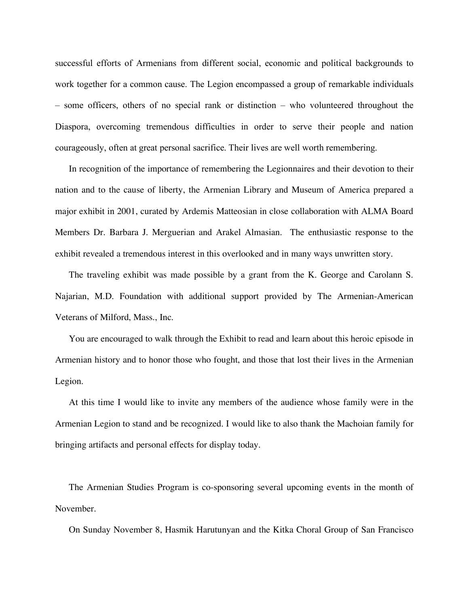successful efforts of Armenians from different social, economic and political backgrounds to work together for a common cause. The Legion encompassed a group of remarkable individuals – some officers, others of no special rank or distinction – who volunteered throughout the Diaspora, overcoming tremendous difficulties in order to serve their people and nation courageously, often at great personal sacrifice. Their lives are well worth remembering.

In recognition of the importance of remembering the Legionnaires and their devotion to their nation and to the cause of liberty, the Armenian Library and Museum of America prepared a major exhibit in 2001, curated by Ardemis Matteosian in close collaboration with ALMA Board Members Dr. Barbara J. Merguerian and Arakel Almasian. The enthusiastic response to the exhibit revealed a tremendous interest in this overlooked and in many ways unwritten story.

The traveling exhibit was made possible by a grant from the K. George and Carolann S. Najarian, M.D. Foundation with additional support provided by The Armenian-American Veterans of Milford, Mass., Inc.

You are encouraged to walk through the Exhibit to read and learn about this heroic episode in Armenian history and to honor those who fought, and those that lost their lives in the Armenian Legion.

At this time I would like to invite any members of the audience whose family were in the Armenian Legion to stand and be recognized. I would like to also thank the Machoian family for bringing artifacts and personal effects for display today.

The Armenian Studies Program is co-sponsoring several upcoming events in the month of November.

On Sunday November 8, Hasmik Harutunyan and the Kitka Choral Group of San Francisco